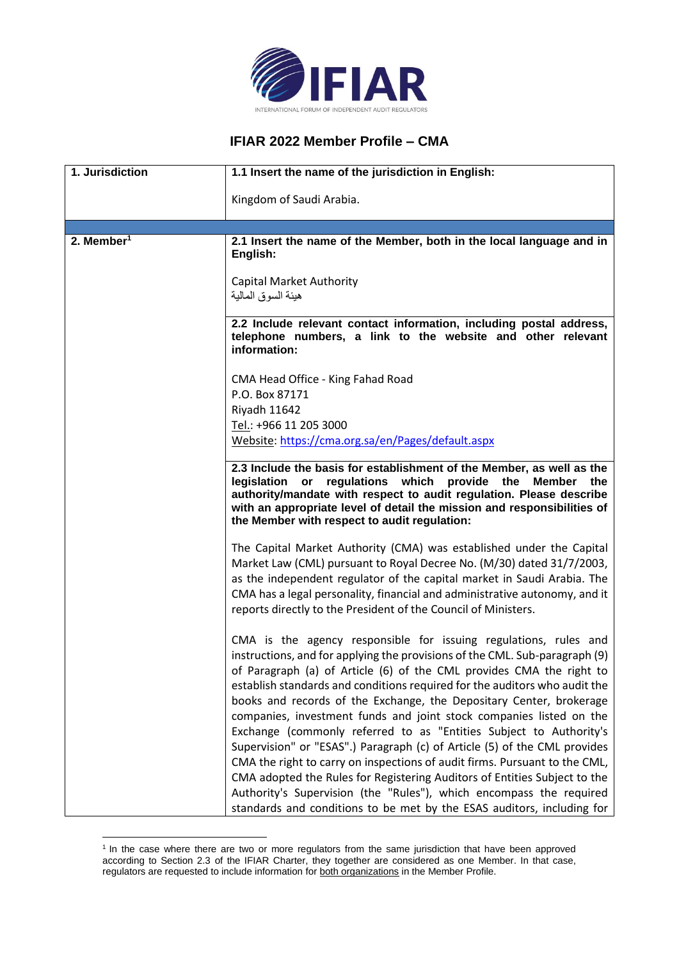

## **IFIAR 2022 Member Profile – CMA**

| 1. Jurisdiction        | 1.1 Insert the name of the jurisdiction in English:                                                                                                                                                                                                                                                                                                                                                                                                                                                                                                                                                                                                                                                                                                               |
|------------------------|-------------------------------------------------------------------------------------------------------------------------------------------------------------------------------------------------------------------------------------------------------------------------------------------------------------------------------------------------------------------------------------------------------------------------------------------------------------------------------------------------------------------------------------------------------------------------------------------------------------------------------------------------------------------------------------------------------------------------------------------------------------------|
|                        | Kingdom of Saudi Arabia.                                                                                                                                                                                                                                                                                                                                                                                                                                                                                                                                                                                                                                                                                                                                          |
|                        |                                                                                                                                                                                                                                                                                                                                                                                                                                                                                                                                                                                                                                                                                                                                                                   |
| 2. Member <sup>1</sup> | 2.1 Insert the name of the Member, both in the local language and in<br>English:                                                                                                                                                                                                                                                                                                                                                                                                                                                                                                                                                                                                                                                                                  |
|                        | <b>Capital Market Authority</b><br>هيئة السوق المالية                                                                                                                                                                                                                                                                                                                                                                                                                                                                                                                                                                                                                                                                                                             |
|                        | 2.2 Include relevant contact information, including postal address,<br>telephone numbers, a link to the website and other relevant<br>information:                                                                                                                                                                                                                                                                                                                                                                                                                                                                                                                                                                                                                |
|                        | CMA Head Office - King Fahad Road                                                                                                                                                                                                                                                                                                                                                                                                                                                                                                                                                                                                                                                                                                                                 |
|                        | P.O. Box 87171                                                                                                                                                                                                                                                                                                                                                                                                                                                                                                                                                                                                                                                                                                                                                    |
|                        | Riyadh 11642                                                                                                                                                                                                                                                                                                                                                                                                                                                                                                                                                                                                                                                                                                                                                      |
|                        | Tel.: +966 11 205 3000                                                                                                                                                                                                                                                                                                                                                                                                                                                                                                                                                                                                                                                                                                                                            |
|                        | Website: https://cma.org.sa/en/Pages/default.aspx                                                                                                                                                                                                                                                                                                                                                                                                                                                                                                                                                                                                                                                                                                                 |
|                        | 2.3 Include the basis for establishment of the Member, as well as the<br>regulations which provide the Member the<br>legislation or<br>authority/mandate with respect to audit regulation. Please describe<br>with an appropriate level of detail the mission and responsibilities of<br>the Member with respect to audit regulation:                                                                                                                                                                                                                                                                                                                                                                                                                             |
|                        | The Capital Market Authority (CMA) was established under the Capital<br>Market Law (CML) pursuant to Royal Decree No. (M/30) dated 31/7/2003,<br>as the independent regulator of the capital market in Saudi Arabia. The<br>CMA has a legal personality, financial and administrative autonomy, and it<br>reports directly to the President of the Council of Ministers.                                                                                                                                                                                                                                                                                                                                                                                          |
|                        | CMA is the agency responsible for issuing regulations, rules and<br>instructions, and for applying the provisions of the CML. Sub-paragraph (9)<br>of Paragraph (a) of Article (6) of the CML provides CMA the right to<br>establish standards and conditions required for the auditors who audit the<br>books and records of the Exchange, the Depositary Center, brokerage<br>companies, investment funds and joint stock companies listed on the<br>Exchange (commonly referred to as "Entities Subject to Authority's<br>Supervision" or "ESAS".) Paragraph (c) of Article (5) of the CML provides<br>CMA the right to carry on inspections of audit firms. Pursuant to the CML,<br>CMA adopted the Rules for Registering Auditors of Entities Subject to the |
|                        | Authority's Supervision (the "Rules"), which encompass the required<br>standards and conditions to be met by the ESAS auditors, including for                                                                                                                                                                                                                                                                                                                                                                                                                                                                                                                                                                                                                     |

<sup>&</sup>lt;sup>1</sup> In the case where there are two or more regulators from the same jurisdiction that have been approved according to Section 2.3 of the IFIAR Charter, they together are considered as one Member. In that case, regulators are requested to include information for both organizations in the Member Profile.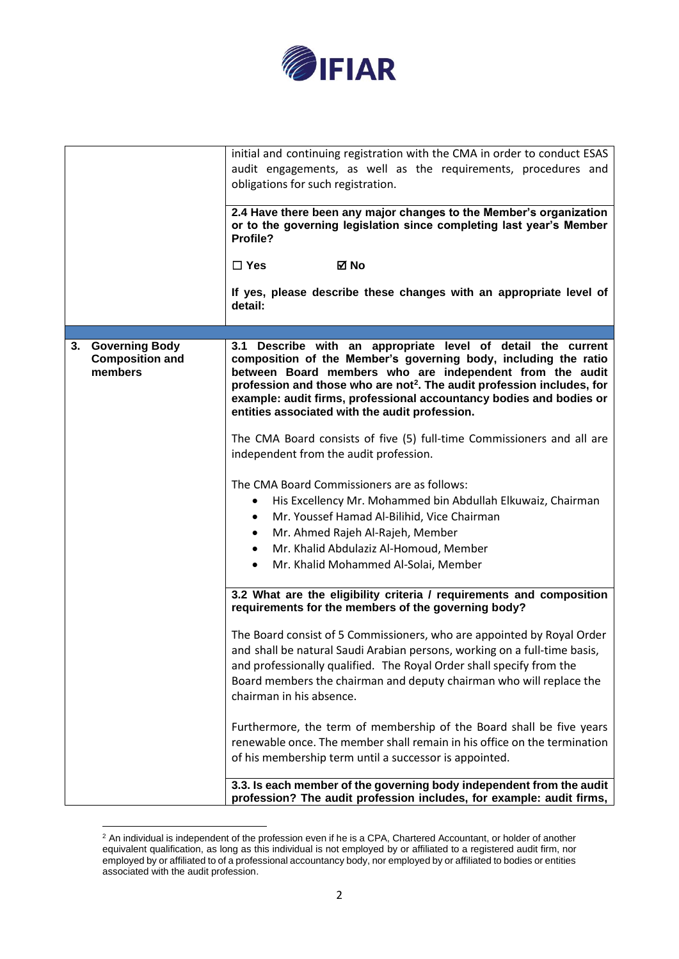

|                                                                  | initial and continuing registration with the CMA in order to conduct ESAS                                                                                                                                                                                                                                                                                                                                  |
|------------------------------------------------------------------|------------------------------------------------------------------------------------------------------------------------------------------------------------------------------------------------------------------------------------------------------------------------------------------------------------------------------------------------------------------------------------------------------------|
|                                                                  | audit engagements, as well as the requirements, procedures and                                                                                                                                                                                                                                                                                                                                             |
|                                                                  | obligations for such registration.                                                                                                                                                                                                                                                                                                                                                                         |
|                                                                  |                                                                                                                                                                                                                                                                                                                                                                                                            |
|                                                                  | 2.4 Have there been any major changes to the Member's organization<br>or to the governing legislation since completing last year's Member<br>Profile?                                                                                                                                                                                                                                                      |
|                                                                  | ⊠ No<br>$\Box$ Yes                                                                                                                                                                                                                                                                                                                                                                                         |
|                                                                  | If yes, please describe these changes with an appropriate level of<br>detail:                                                                                                                                                                                                                                                                                                                              |
|                                                                  |                                                                                                                                                                                                                                                                                                                                                                                                            |
| <b>Governing Body</b><br>3.<br><b>Composition and</b><br>members | 3.1 Describe with an appropriate level of detail the current<br>composition of the Member's governing body, including the ratio<br>between Board members who are independent from the audit<br>profession and those who are not <sup>2</sup> . The audit profession includes, for<br>example: audit firms, professional accountancy bodies and bodies or<br>entities associated with the audit profession. |
|                                                                  | The CMA Board consists of five (5) full-time Commissioners and all are<br>independent from the audit profession.                                                                                                                                                                                                                                                                                           |
|                                                                  | The CMA Board Commissioners are as follows:<br>His Excellency Mr. Mohammed bin Abdullah Elkuwaiz, Chairman<br>٠<br>Mr. Youssef Hamad Al-Bilihid, Vice Chairman<br>٠<br>Mr. Ahmed Rajeh Al-Rajeh, Member<br>$\bullet$<br>Mr. Khalid Abdulaziz Al-Homoud, Member<br>Mr. Khalid Mohammed Al-Solai, Member<br>$\bullet$                                                                                        |
|                                                                  | 3.2 What are the eligibility criteria / requirements and composition<br>requirements for the members of the governing body?                                                                                                                                                                                                                                                                                |
|                                                                  | The Board consist of 5 Commissioners, who are appointed by Royal Order<br>and shall be natural Saudi Arabian persons, working on a full-time basis,<br>and professionally qualified. The Royal Order shall specify from the<br>Board members the chairman and deputy chairman who will replace the<br>chairman in his absence.                                                                             |
|                                                                  | Furthermore, the term of membership of the Board shall be five years<br>renewable once. The member shall remain in his office on the termination<br>of his membership term until a successor is appointed.                                                                                                                                                                                                 |
|                                                                  | 3.3. Is each member of the governing body independent from the audit<br>profession? The audit profession includes, for example: audit firms,                                                                                                                                                                                                                                                               |

 $2$  An individual is independent of the profession even if he is a CPA, Chartered Accountant, or holder of another equivalent qualification, as long as this individual is not employed by or affiliated to a registered audit firm, nor employed by or affiliated to of a professional accountancy body, nor employed by or affiliated to bodies or entities associated with the audit profession.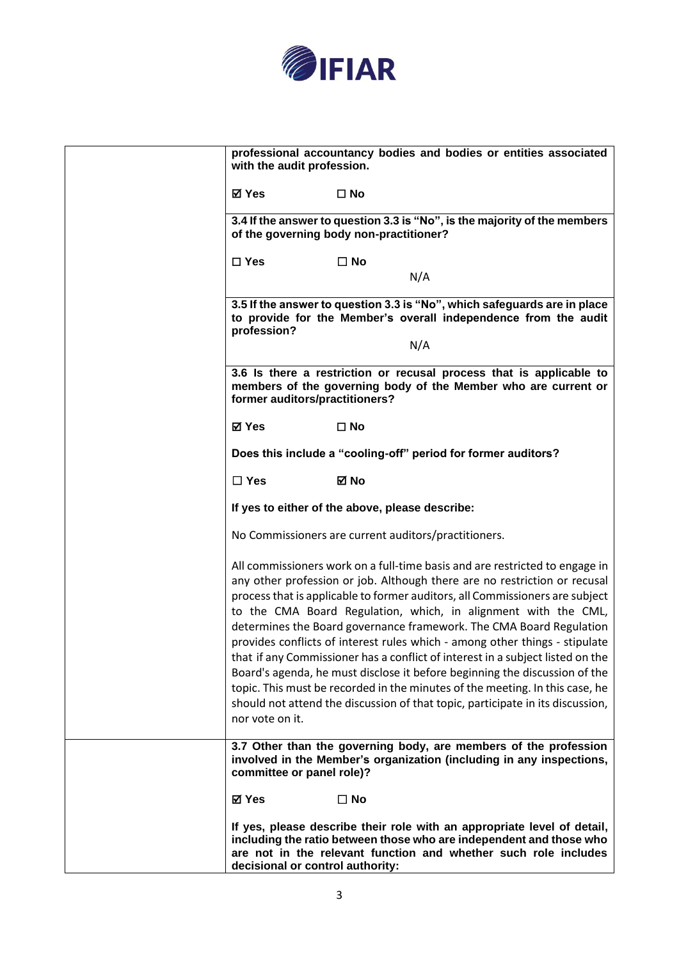

| with the audit profession.       | professional accountancy bodies and bodies or entities associated                                                                                                                                                                                                                                                                                                                                                                                                                                                                                                                                                                                                                                                                                                                                  |
|----------------------------------|----------------------------------------------------------------------------------------------------------------------------------------------------------------------------------------------------------------------------------------------------------------------------------------------------------------------------------------------------------------------------------------------------------------------------------------------------------------------------------------------------------------------------------------------------------------------------------------------------------------------------------------------------------------------------------------------------------------------------------------------------------------------------------------------------|
| ⊠ Yes                            | $\square$ No                                                                                                                                                                                                                                                                                                                                                                                                                                                                                                                                                                                                                                                                                                                                                                                       |
|                                  | 3.4 If the answer to question 3.3 is "No", is the majority of the members<br>of the governing body non-practitioner?                                                                                                                                                                                                                                                                                                                                                                                                                                                                                                                                                                                                                                                                               |
| $\square$ Yes                    | $\square$ No                                                                                                                                                                                                                                                                                                                                                                                                                                                                                                                                                                                                                                                                                                                                                                                       |
|                                  | N/A                                                                                                                                                                                                                                                                                                                                                                                                                                                                                                                                                                                                                                                                                                                                                                                                |
| profession?                      | 3.5 If the answer to question 3.3 is "No", which safeguards are in place<br>to provide for the Member's overall independence from the audit<br>N/A                                                                                                                                                                                                                                                                                                                                                                                                                                                                                                                                                                                                                                                 |
|                                  |                                                                                                                                                                                                                                                                                                                                                                                                                                                                                                                                                                                                                                                                                                                                                                                                    |
| former auditors/practitioners?   | 3.6 Is there a restriction or recusal process that is applicable to<br>members of the governing body of the Member who are current or                                                                                                                                                                                                                                                                                                                                                                                                                                                                                                                                                                                                                                                              |
| ⊠ Yes                            | $\square$ No                                                                                                                                                                                                                                                                                                                                                                                                                                                                                                                                                                                                                                                                                                                                                                                       |
|                                  | Does this include a "cooling-off" period for former auditors?                                                                                                                                                                                                                                                                                                                                                                                                                                                                                                                                                                                                                                                                                                                                      |
| $\Box$ Yes                       | ⊠ No                                                                                                                                                                                                                                                                                                                                                                                                                                                                                                                                                                                                                                                                                                                                                                                               |
|                                  | If yes to either of the above, please describe:                                                                                                                                                                                                                                                                                                                                                                                                                                                                                                                                                                                                                                                                                                                                                    |
|                                  | No Commissioners are current auditors/practitioners.                                                                                                                                                                                                                                                                                                                                                                                                                                                                                                                                                                                                                                                                                                                                               |
| nor vote on it.                  | All commissioners work on a full-time basis and are restricted to engage in<br>any other profession or job. Although there are no restriction or recusal<br>process that is applicable to former auditors, all Commissioners are subject<br>to the CMA Board Regulation, which, in alignment with the CML,<br>determines the Board governance framework. The CMA Board Regulation<br>provides conflicts of interest rules which - among other things - stipulate<br>that if any Commissioner has a conflict of interest in a subject listed on the<br>Board's agenda, he must disclose it before beginning the discussion of the<br>topic. This must be recorded in the minutes of the meeting. In this case, he<br>should not attend the discussion of that topic, participate in its discussion, |
| committee or panel role)?        | 3.7 Other than the governing body, are members of the profession<br>involved in the Member's organization (including in any inspections,                                                                                                                                                                                                                                                                                                                                                                                                                                                                                                                                                                                                                                                           |
| ⊠ Yes                            | $\square$ No                                                                                                                                                                                                                                                                                                                                                                                                                                                                                                                                                                                                                                                                                                                                                                                       |
| decisional or control authority: | If yes, please describe their role with an appropriate level of detail,<br>including the ratio between those who are independent and those who<br>are not in the relevant function and whether such role includes                                                                                                                                                                                                                                                                                                                                                                                                                                                                                                                                                                                  |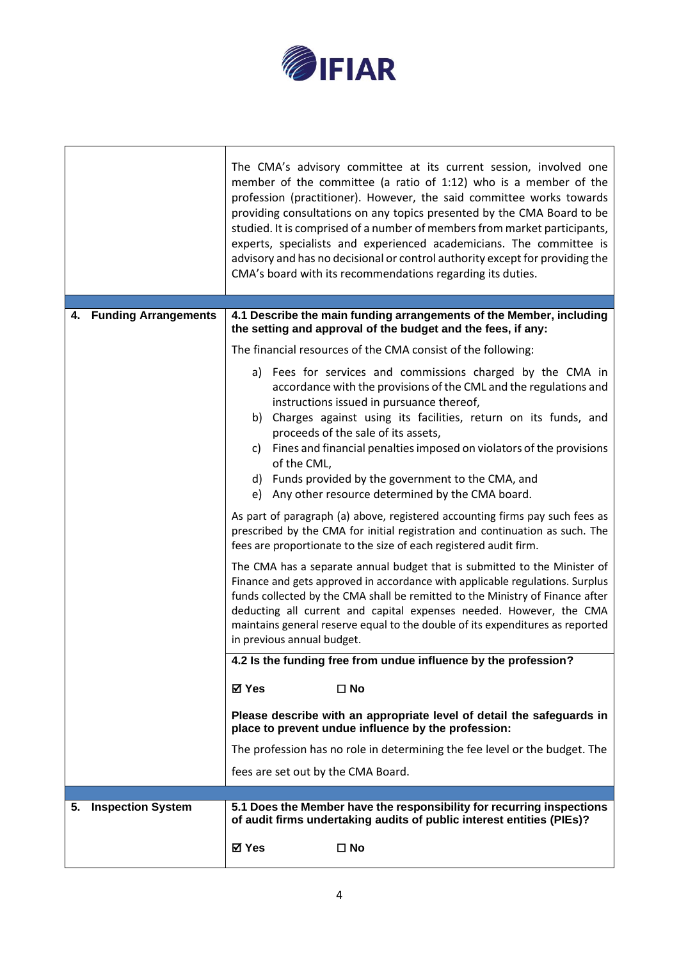

|                                | The CMA's advisory committee at its current session, involved one<br>member of the committee (a ratio of 1:12) who is a member of the<br>profession (practitioner). However, the said committee works towards<br>providing consultations on any topics presented by the CMA Board to be<br>studied. It is comprised of a number of members from market participants,<br>experts, specialists and experienced academicians. The committee is<br>advisory and has no decisional or control authority except for providing the<br>CMA's board with its recommendations regarding its duties. |
|--------------------------------|-------------------------------------------------------------------------------------------------------------------------------------------------------------------------------------------------------------------------------------------------------------------------------------------------------------------------------------------------------------------------------------------------------------------------------------------------------------------------------------------------------------------------------------------------------------------------------------------|
| 4. Funding Arrangements        | 4.1 Describe the main funding arrangements of the Member, including                                                                                                                                                                                                                                                                                                                                                                                                                                                                                                                       |
|                                | the setting and approval of the budget and the fees, if any:                                                                                                                                                                                                                                                                                                                                                                                                                                                                                                                              |
|                                | The financial resources of the CMA consist of the following:                                                                                                                                                                                                                                                                                                                                                                                                                                                                                                                              |
|                                | a) Fees for services and commissions charged by the CMA in<br>accordance with the provisions of the CML and the regulations and<br>instructions issued in pursuance thereof,<br>Charges against using its facilities, return on its funds, and<br>b)<br>proceeds of the sale of its assets,<br>Fines and financial penalties imposed on violators of the provisions<br>C)<br>of the CML,<br>Funds provided by the government to the CMA, and<br>d)<br>Any other resource determined by the CMA board.<br>e)                                                                               |
|                                | As part of paragraph (a) above, registered accounting firms pay such fees as<br>prescribed by the CMA for initial registration and continuation as such. The<br>fees are proportionate to the size of each registered audit firm.                                                                                                                                                                                                                                                                                                                                                         |
|                                | The CMA has a separate annual budget that is submitted to the Minister of<br>Finance and gets approved in accordance with applicable regulations. Surplus<br>funds collected by the CMA shall be remitted to the Ministry of Finance after<br>deducting all current and capital expenses needed. However, the CMA<br>maintains general reserve equal to the double of its expenditures as reported<br>in previous annual budget.                                                                                                                                                          |
|                                | 4.2 Is the funding free from undue influence by the profession?                                                                                                                                                                                                                                                                                                                                                                                                                                                                                                                           |
|                                | ⊠ Yes<br>$\square$ No                                                                                                                                                                                                                                                                                                                                                                                                                                                                                                                                                                     |
|                                | Please describe with an appropriate level of detail the safeguards in<br>place to prevent undue influence by the profession:                                                                                                                                                                                                                                                                                                                                                                                                                                                              |
|                                | The profession has no role in determining the fee level or the budget. The                                                                                                                                                                                                                                                                                                                                                                                                                                                                                                                |
|                                | fees are set out by the CMA Board.                                                                                                                                                                                                                                                                                                                                                                                                                                                                                                                                                        |
| <b>Inspection System</b><br>5. | 5.1 Does the Member have the responsibility for recurring inspections                                                                                                                                                                                                                                                                                                                                                                                                                                                                                                                     |
|                                | of audit firms undertaking audits of public interest entities (PIEs)?                                                                                                                                                                                                                                                                                                                                                                                                                                                                                                                     |
|                                | ⊠ Yes<br>$\square$ No                                                                                                                                                                                                                                                                                                                                                                                                                                                                                                                                                                     |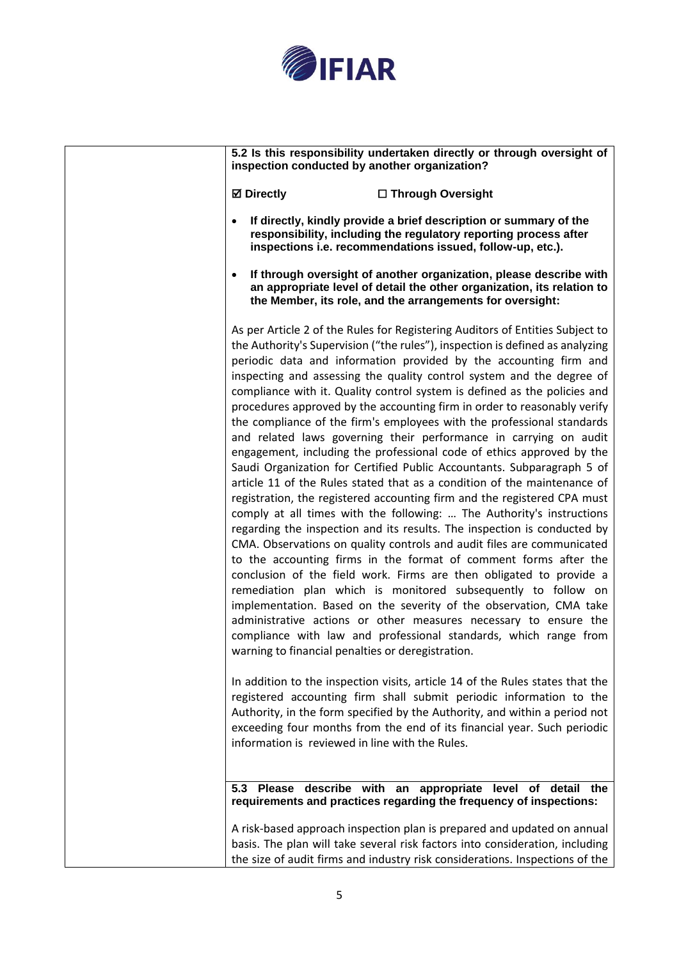

**5.2 Is this responsibility undertaken directly or through oversight of inspection conducted by another organization?**

**Directly** ☐ **Through Oversight**

- **If directly, kindly provide a brief description or summary of the responsibility, including the regulatory reporting process after inspections i.e. recommendations issued, follow-up, etc.).**
- **If through oversight of another organization, please describe with an appropriate level of detail the other organization, its relation to the Member, its role, and the arrangements for oversight:**

As per Article 2 of the Rules for Registering Auditors of Entities Subject to the Authority's Supervision ("the rules"), inspection is defined as analyzing periodic data and information provided by the accounting firm and inspecting and assessing the quality control system and the degree of compliance with it. Quality control system is defined as the policies and procedures approved by the accounting firm in order to reasonably verify the compliance of the firm's employees with the professional standards and related laws governing their performance in carrying on audit engagement, including the professional code of ethics approved by the Saudi Organization for Certified Public Accountants. Subparagraph 5 of article 11 of the Rules stated that as a condition of the maintenance of registration, the registered accounting firm and the registered CPA must comply at all times with the following: … The Authority's instructions regarding the inspection and its results. The inspection is conducted by CMA. Observations on quality controls and audit files are communicated to the accounting firms in the format of comment forms after the conclusion of the field work. Firms are then obligated to provide a remediation plan which is monitored subsequently to follow on implementation. Based on the severity of the observation, CMA take administrative actions or other measures necessary to ensure the compliance with law and professional standards, which range from warning to financial penalties or deregistration.

In addition to the inspection visits, article 14 of the Rules states that the registered accounting firm shall submit periodic information to the Authority, in the form specified by the Authority, and within a period not exceeding four months from the end of its financial year. Such periodic information is reviewed in line with the Rules.

**5.3 Please describe with an appropriate level of detail the requirements and practices regarding the frequency of inspections:**

A risk-based approach inspection plan is prepared and updated on annual basis. The plan will take several risk factors into consideration, including the size of audit firms and industry risk considerations. Inspections of the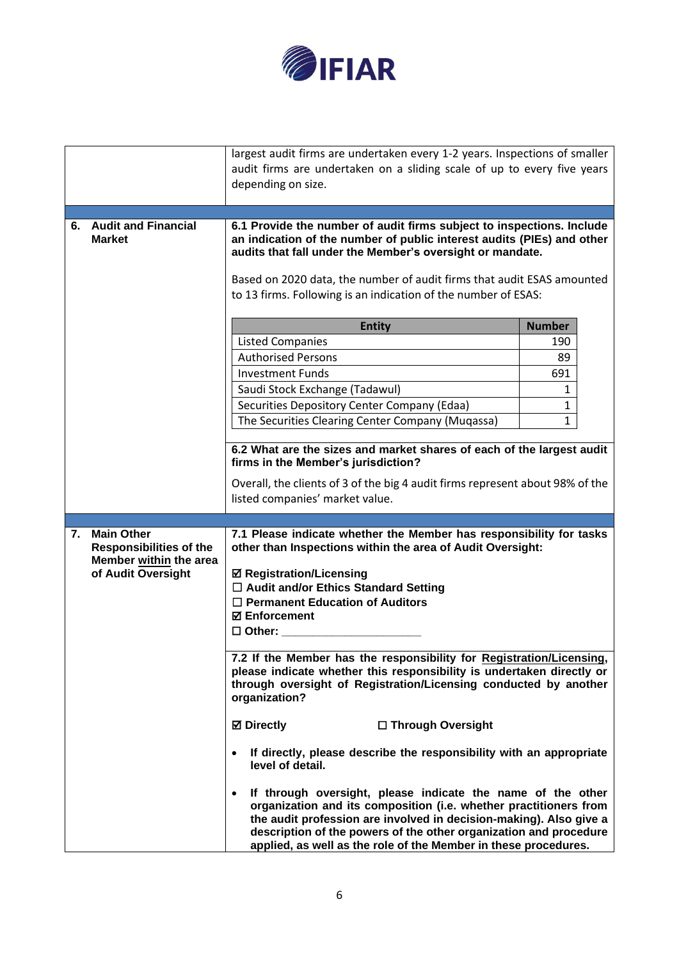

|    |                                                     | largest audit firms are undertaken every 1-2 years. Inspections of smaller                                                                                                                                                                                                                                                                                  |               |
|----|-----------------------------------------------------|-------------------------------------------------------------------------------------------------------------------------------------------------------------------------------------------------------------------------------------------------------------------------------------------------------------------------------------------------------------|---------------|
|    |                                                     | audit firms are undertaken on a sliding scale of up to every five years<br>depending on size.                                                                                                                                                                                                                                                               |               |
|    |                                                     |                                                                                                                                                                                                                                                                                                                                                             |               |
|    |                                                     |                                                                                                                                                                                                                                                                                                                                                             |               |
|    | 6. Audit and Financial<br><b>Market</b>             | 6.1 Provide the number of audit firms subject to inspections. Include<br>an indication of the number of public interest audits (PIEs) and other<br>audits that fall under the Member's oversight or mandate.<br>Based on 2020 data, the number of audit firms that audit ESAS amounted<br>to 13 firms. Following is an indication of the number of ESAS:    |               |
|    |                                                     | <b>Entity</b>                                                                                                                                                                                                                                                                                                                                               | <b>Number</b> |
|    |                                                     | <b>Listed Companies</b>                                                                                                                                                                                                                                                                                                                                     | 190           |
|    |                                                     | <b>Authorised Persons</b>                                                                                                                                                                                                                                                                                                                                   | 89            |
|    |                                                     | <b>Investment Funds</b>                                                                                                                                                                                                                                                                                                                                     | 691           |
|    |                                                     | Saudi Stock Exchange (Tadawul)                                                                                                                                                                                                                                                                                                                              | 1             |
|    |                                                     | Securities Depository Center Company (Edaa)                                                                                                                                                                                                                                                                                                                 | $\mathbf{1}$  |
|    |                                                     | The Securities Clearing Center Company (Muqassa)                                                                                                                                                                                                                                                                                                            | $\mathbf{1}$  |
|    |                                                     |                                                                                                                                                                                                                                                                                                                                                             |               |
|    |                                                     | 6.2 What are the sizes and market shares of each of the largest audit<br>firms in the Member's jurisdiction?                                                                                                                                                                                                                                                |               |
|    |                                                     | Overall, the clients of 3 of the big 4 audit firms represent about 98% of the                                                                                                                                                                                                                                                                               |               |
|    |                                                     | listed companies' market value.                                                                                                                                                                                                                                                                                                                             |               |
|    |                                                     |                                                                                                                                                                                                                                                                                                                                                             |               |
| 7. | <b>Main Other</b><br><b>Responsibilities of the</b> | 7.1 Please indicate whether the Member has responsibility for tasks<br>other than Inspections within the area of Audit Oversight:                                                                                                                                                                                                                           |               |
|    | Member within the area<br>of Audit Oversight        | <b>Ø Registration/Licensing</b>                                                                                                                                                                                                                                                                                                                             |               |
|    |                                                     | □ Audit and/or Ethics Standard Setting                                                                                                                                                                                                                                                                                                                      |               |
|    |                                                     | $\Box$ Permanent Education of Auditors                                                                                                                                                                                                                                                                                                                      |               |
|    |                                                     | <b>⊠</b> Enforcement                                                                                                                                                                                                                                                                                                                                        |               |
|    |                                                     | $\square$ Other:                                                                                                                                                                                                                                                                                                                                            |               |
|    |                                                     | 7.2 If the Member has the responsibility for Registration/Licensing,                                                                                                                                                                                                                                                                                        |               |
|    |                                                     | please indicate whether this responsibility is undertaken directly or<br>through oversight of Registration/Licensing conducted by another<br>organization?                                                                                                                                                                                                  |               |
|    |                                                     | <b>⊠</b> Directly<br>□ Through Oversight                                                                                                                                                                                                                                                                                                                    |               |
|    |                                                     | If directly, please describe the responsibility with an appropriate<br>level of detail.                                                                                                                                                                                                                                                                     |               |
|    |                                                     | If through oversight, please indicate the name of the other<br>$\bullet$<br>organization and its composition (i.e. whether practitioners from<br>the audit profession are involved in decision-making). Also give a<br>description of the powers of the other organization and procedure<br>applied, as well as the role of the Member in these procedures. |               |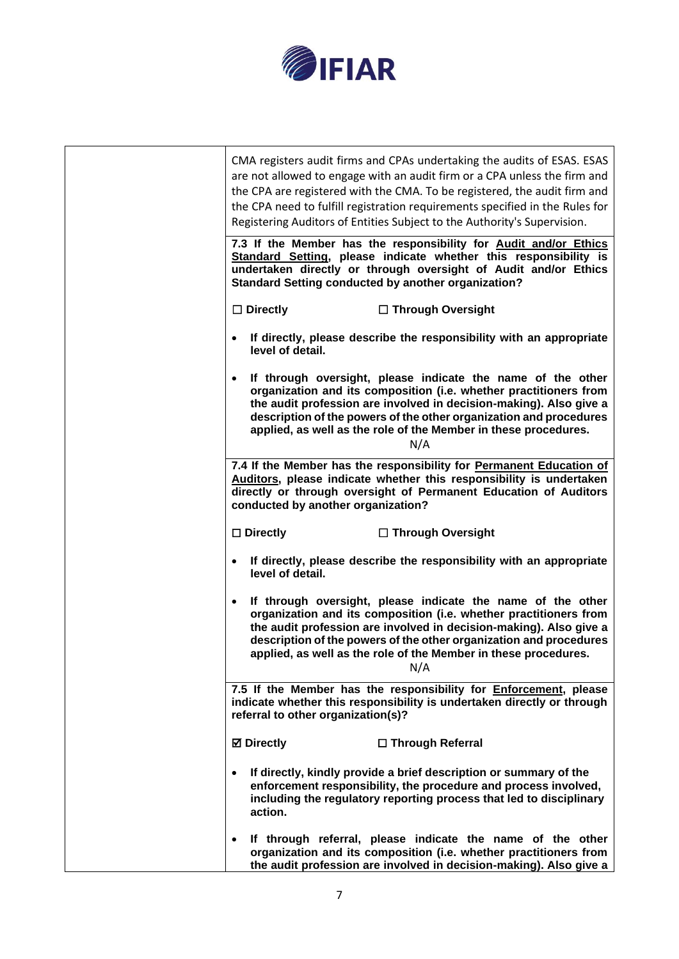

| CMA registers audit firms and CPAs undertaking the audits of ESAS. ESAS<br>are not allowed to engage with an audit firm or a CPA unless the firm and<br>the CPA are registered with the CMA. To be registered, the audit firm and<br>the CPA need to fulfill registration requirements specified in the Rules for<br>Registering Auditors of Entities Subject to the Authority's Supervision. |
|-----------------------------------------------------------------------------------------------------------------------------------------------------------------------------------------------------------------------------------------------------------------------------------------------------------------------------------------------------------------------------------------------|
| 7.3 If the Member has the responsibility for Audit and/or Ethics<br>Standard Setting, please indicate whether this responsibility is<br>undertaken directly or through oversight of Audit and/or Ethics<br><b>Standard Setting conducted by another organization?</b>                                                                                                                         |
| $\Box$ Directly<br>□ Through Oversight                                                                                                                                                                                                                                                                                                                                                        |
| • If directly, please describe the responsibility with an appropriate<br>level of detail.                                                                                                                                                                                                                                                                                                     |
| If through oversight, please indicate the name of the other<br>organization and its composition (i.e. whether practitioners from<br>the audit profession are involved in decision-making). Also give a<br>description of the powers of the other organization and procedures<br>applied, as well as the role of the Member in these procedures.<br>N/A                                        |
| 7.4 If the Member has the responsibility for Permanent Education of<br>Auditors, please indicate whether this responsibility is undertaken<br>directly or through oversight of Permanent Education of Auditors<br>conducted by another organization?                                                                                                                                          |
| $\square$ Directly<br>□ Through Oversight                                                                                                                                                                                                                                                                                                                                                     |
| If directly, please describe the responsibility with an appropriate<br>level of detail.                                                                                                                                                                                                                                                                                                       |
| If through oversight, please indicate the name of the other<br>organization and its composition (i.e. whether practitioners from<br>the audit profession are involved in decision-making). Also give a<br>description of the powers of the other organization and procedures<br>applied, as well as the role of the Member in these procedures.<br>N/A                                        |
| 7.5 If the Member has the responsibility for <b>Enforcement</b> , please<br>indicate whether this responsibility is undertaken directly or through<br>referral to other organization(s)?                                                                                                                                                                                                      |
| <b>⊠</b> Directly<br>□ Through Referral                                                                                                                                                                                                                                                                                                                                                       |
| If directly, kindly provide a brief description or summary of the<br>enforcement responsibility, the procedure and process involved,<br>including the regulatory reporting process that led to disciplinary<br>action.                                                                                                                                                                        |
| If through referral, please indicate the name of the other<br>organization and its composition (i.e. whether practitioners from<br>the audit profession are involved in decision-making). Also give a                                                                                                                                                                                         |